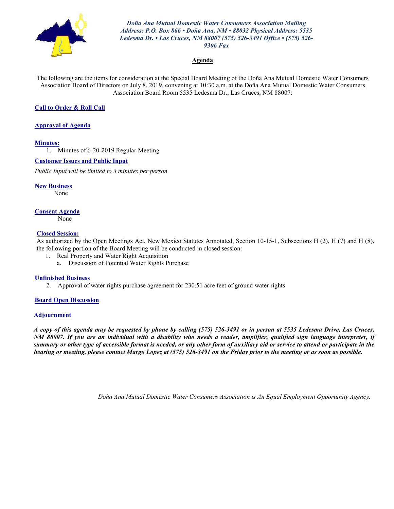

*Doña Ana Mutual Domestic Water Consumers Association Mailing Address: P.O. Box 866 • Doña Ana, NM • 88032 Physical Address: 5535 Ledesma Dr. • Las Cruces, NM 88007 (575) 526-3491 Office • (575) 526- 9306 Fax*

#### **Agenda**

The following are the items for consideration at the Special Board Meeting of the Doña Ana Mutual Domestic Water Consumers Association Board of Directors on July 8, 2019, convening at 10:30 a.m. at the Doña Ana Mutual Domestic Water Consumers Association Board Room 5535 Ledesma Dr., Las Cruces, NM 88007:

#### **Call to Order & Roll Call**

#### **Approval of Agenda**

#### **Minutes:**

1. Minutes of 6-20-2019 Regular Meeting

#### **Customer Issues and Public Input**

*Public Input will be limited to 3 minutes per person*

**New Business** None

#### **Consent Agenda**

None

#### **Closed Session:**

As authorized by the Open Meetings Act, New Mexico Statutes Annotated, Section 10-15-1, Subsections H (2), H (7) and H (8), the following portion of the Board Meeting will be conducted in closed session:

- 1. Real Property and Water Right Acquisition
	- a. Discussion of Potential Water Rights Purchase

#### **Unfinished Business**

2. Approval of water rights purchase agreement for 230.51 acre feet of ground water rights

#### **Board Open Discussion**

#### **Adjournment**

*A copy of this agenda may be requested by phone by calling (575) 526-3491 or in person at 5535 Ledesma Drive, Las Cruces, NM 88007. If you are an individual with a disability who needs a reader, amplifier, qualified sign language interpreter, if summary or other type of accessible format is needed, or any other form of auxiliary aid or service to attend or participate in the hearing or meeting, please contact Margo Lopez at (575) 526-3491 on the Friday prior to the meeting or as soon as possible.*

*Doña Ana Mutual Domestic Water Consumers Association is An Equal Employment Opportunity Agency.*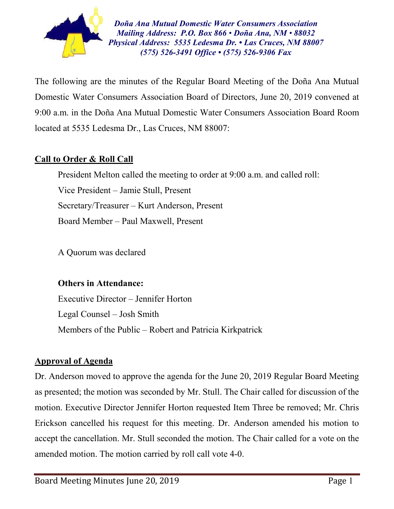

*Doña Ana Mutual Domestic Water Consumers Association Mailing Address: P.O. Box 866 • Doña Ana, NM • 88032 Physical Address: 5535 Ledesma Dr. • Las Cruces, NM 88007 (575) 526-3491 Office • (575) 526-9306 Fax*

The following are the minutes of the Regular Board Meeting of the Doña Ana Mutual Domestic Water Consumers Association Board of Directors, June 20, 2019 convened at 9:00 a.m. in the Doña Ana Mutual Domestic Water Consumers Association Board Room located at 5535 Ledesma Dr., Las Cruces, NM 88007:

## **Call to Order & Roll Call**

President Melton called the meeting to order at 9:00 a.m. and called roll: Vice President – Jamie Stull, Present Secretary/Treasurer – Kurt Anderson, Present Board Member – Paul Maxwell, Present

A Quorum was declared

### **Others in Attendance:**

Executive Director – Jennifer Horton Legal Counsel – Josh Smith Members of the Public – Robert and Patricia Kirkpatrick

### **Approval of Agenda**

Dr. Anderson moved to approve the agenda for the June 20, 2019 Regular Board Meeting as presented; the motion was seconded by Mr. Stull. The Chair called for discussion of the motion. Executive Director Jennifer Horton requested Item Three be removed; Mr. Chris Erickson cancelled his request for this meeting. Dr. Anderson amended his motion to accept the cancellation. Mr. Stull seconded the motion. The Chair called for a vote on the amended motion. The motion carried by roll call vote 4-0.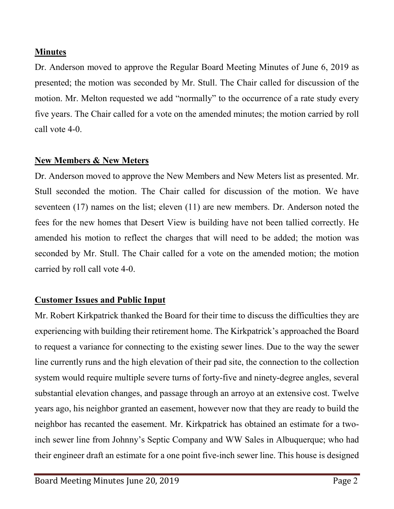### **Minutes**

Dr. Anderson moved to approve the Regular Board Meeting Minutes of June 6, 2019 as presented; the motion was seconded by Mr. Stull. The Chair called for discussion of the motion. Mr. Melton requested we add "normally" to the occurrence of a rate study every five years. The Chair called for a vote on the amended minutes; the motion carried by roll call vote 4-0.

## **New Members & New Meters**

Dr. Anderson moved to approve the New Members and New Meters list as presented. Mr. Stull seconded the motion. The Chair called for discussion of the motion. We have seventeen (17) names on the list; eleven (11) are new members. Dr. Anderson noted the fees for the new homes that Desert View is building have not been tallied correctly. He amended his motion to reflect the charges that will need to be added; the motion was seconded by Mr. Stull. The Chair called for a vote on the amended motion; the motion carried by roll call vote 4-0.

# **Customer Issues and Public Input**

Mr. Robert Kirkpatrick thanked the Board for their time to discuss the difficulties they are experiencing with building their retirement home. The Kirkpatrick's approached the Board to request a variance for connecting to the existing sewer lines. Due to the way the sewer line currently runs and the high elevation of their pad site, the connection to the collection system would require multiple severe turns of forty-five and ninety-degree angles, several substantial elevation changes, and passage through an arroyo at an extensive cost. Twelve years ago, his neighbor granted an easement, however now that they are ready to build the neighbor has recanted the easement. Mr. Kirkpatrick has obtained an estimate for a twoinch sewer line from Johnny's Septic Company and WW Sales in Albuquerque; who had their engineer draft an estimate for a one point five-inch sewer line. This house is designed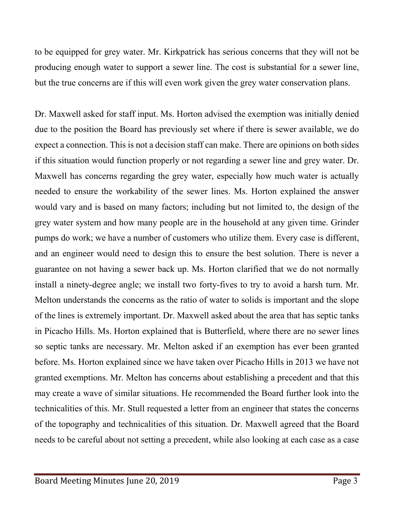to be equipped for grey water. Mr. Kirkpatrick has serious concerns that they will not be producing enough water to support a sewer line. The cost is substantial for a sewer line, but the true concerns are if this will even work given the grey water conservation plans.

Dr. Maxwell asked for staff input. Ms. Horton advised the exemption was initially denied due to the position the Board has previously set where if there is sewer available, we do expect a connection. This is not a decision staff can make. There are opinions on both sides if this situation would function properly or not regarding a sewer line and grey water. Dr. Maxwell has concerns regarding the grey water, especially how much water is actually needed to ensure the workability of the sewer lines. Ms. Horton explained the answer would vary and is based on many factors; including but not limited to, the design of the grey water system and how many people are in the household at any given time. Grinder pumps do work; we have a number of customers who utilize them. Every case is different, and an engineer would need to design this to ensure the best solution. There is never a guarantee on not having a sewer back up. Ms. Horton clarified that we do not normally install a ninety-degree angle; we install two forty-fives to try to avoid a harsh turn. Mr. Melton understands the concerns as the ratio of water to solids is important and the slope of the lines is extremely important. Dr. Maxwell asked about the area that has septic tanks in Picacho Hills. Ms. Horton explained that is Butterfield, where there are no sewer lines so septic tanks are necessary. Mr. Melton asked if an exemption has ever been granted before. Ms. Horton explained since we have taken over Picacho Hills in 2013 we have not granted exemptions. Mr. Melton has concerns about establishing a precedent and that this may create a wave of similar situations. He recommended the Board further look into the technicalities of this. Mr. Stull requested a letter from an engineer that states the concerns of the topography and technicalities of this situation. Dr. Maxwell agreed that the Board needs to be careful about not setting a precedent, while also looking at each case as a case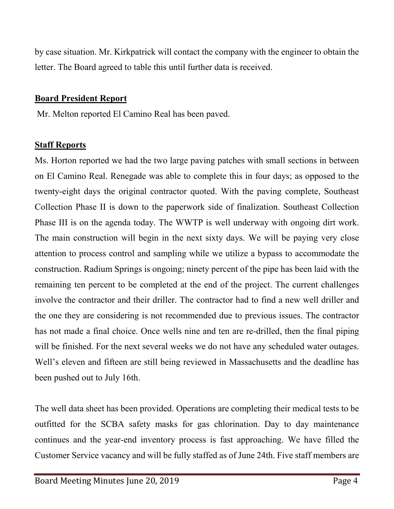by case situation. Mr. Kirkpatrick will contact the company with the engineer to obtain the letter. The Board agreed to table this until further data is received.

### **Board President Report**

Mr. Melton reported El Camino Real has been paved.

### **Staff Reports**

Ms. Horton reported we had the two large paving patches with small sections in between on El Camino Real. Renegade was able to complete this in four days; as opposed to the twenty-eight days the original contractor quoted. With the paving complete, Southeast Collection Phase II is down to the paperwork side of finalization. Southeast Collection Phase III is on the agenda today. The WWTP is well underway with ongoing dirt work. The main construction will begin in the next sixty days. We will be paying very close attention to process control and sampling while we utilize a bypass to accommodate the construction. Radium Springs is ongoing; ninety percent of the pipe has been laid with the remaining ten percent to be completed at the end of the project. The current challenges involve the contractor and their driller. The contractor had to find a new well driller and the one they are considering is not recommended due to previous issues. The contractor has not made a final choice. Once wells nine and ten are re-drilled, then the final piping will be finished. For the next several weeks we do not have any scheduled water outages. Well's eleven and fifteen are still being reviewed in Massachusetts and the deadline has been pushed out to July 16th.

The well data sheet has been provided. Operations are completing their medical tests to be outfitted for the SCBA safety masks for gas chlorination. Day to day maintenance continues and the year-end inventory process is fast approaching. We have filled the Customer Service vacancy and will be fully staffed as of June 24th. Five staff members are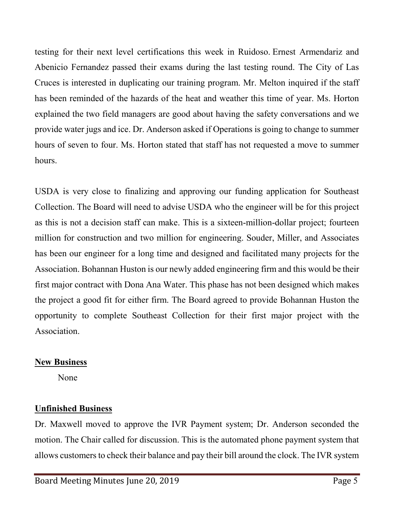testing for their next level certifications this week in Ruidoso. Ernest Armendariz and Abenicio Fernandez passed their exams during the last testing round. The City of Las Cruces is interested in duplicating our training program. Mr. Melton inquired if the staff has been reminded of the hazards of the heat and weather this time of year. Ms. Horton explained the two field managers are good about having the safety conversations and we provide water jugs and ice. Dr. Anderson asked if Operations is going to change to summer hours of seven to four. Ms. Horton stated that staff has not requested a move to summer hours.

USDA is very close to finalizing and approving our funding application for Southeast Collection. The Board will need to advise USDA who the engineer will be for this project as this is not a decision staff can make. This is a sixteen-million-dollar project; fourteen million for construction and two million for engineering. Souder, Miller, and Associates has been our engineer for a long time and designed and facilitated many projects for the Association. Bohannan Huston is our newly added engineering firm and this would be their first major contract with Dona Ana Water. This phase has not been designed which makes the project a good fit for either firm. The Board agreed to provide Bohannan Huston the opportunity to complete Southeast Collection for their first major project with the Association.

### **New Business**

None

# **Unfinished Business**

Dr. Maxwell moved to approve the IVR Payment system; Dr. Anderson seconded the motion. The Chair called for discussion. This is the automated phone payment system that allows customers to check their balance and pay their bill around the clock. The IVR system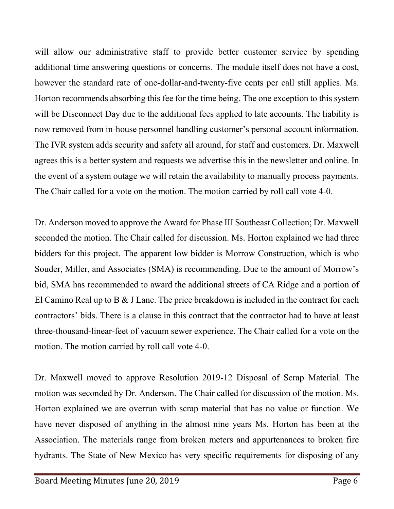will allow our administrative staff to provide better customer service by spending additional time answering questions or concerns. The module itself does not have a cost, however the standard rate of one-dollar-and-twenty-five cents per call still applies. Ms. Horton recommends absorbing this fee for the time being. The one exception to this system will be Disconnect Day due to the additional fees applied to late accounts. The liability is now removed from in-house personnel handling customer's personal account information. The IVR system adds security and safety all around, for staff and customers. Dr. Maxwell agrees this is a better system and requests we advertise this in the newsletter and online. In the event of a system outage we will retain the availability to manually process payments. The Chair called for a vote on the motion. The motion carried by roll call vote 4-0.

Dr. Anderson moved to approve the Award for Phase III Southeast Collection; Dr. Maxwell seconded the motion. The Chair called for discussion. Ms. Horton explained we had three bidders for this project. The apparent low bidder is Morrow Construction, which is who Souder, Miller, and Associates (SMA) is recommending. Due to the amount of Morrow's bid, SMA has recommended to award the additional streets of CA Ridge and a portion of El Camino Real up to B & J Lane. The price breakdown is included in the contract for each contractors' bids. There is a clause in this contract that the contractor had to have at least three-thousand-linear-feet of vacuum sewer experience. The Chair called for a vote on the motion. The motion carried by roll call vote 4-0.

Dr. Maxwell moved to approve Resolution 2019-12 Disposal of Scrap Material. The motion was seconded by Dr. Anderson. The Chair called for discussion of the motion. Ms. Horton explained we are overrun with scrap material that has no value or function. We have never disposed of anything in the almost nine years Ms. Horton has been at the Association. The materials range from broken meters and appurtenances to broken fire hydrants. The State of New Mexico has very specific requirements for disposing of any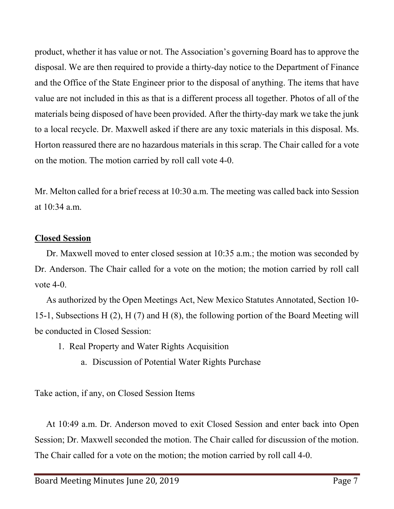product, whether it has value or not. The Association's governing Board has to approve the disposal. We are then required to provide a thirty-day notice to the Department of Finance and the Office of the State Engineer prior to the disposal of anything. The items that have value are not included in this as that is a different process all together. Photos of all of the materials being disposed of have been provided. After the thirty-day mark we take the junk to a local recycle. Dr. Maxwell asked if there are any toxic materials in this disposal. Ms. Horton reassured there are no hazardous materials in this scrap. The Chair called for a vote on the motion. The motion carried by roll call vote 4-0.

Mr. Melton called for a brief recess at 10:30 a.m. The meeting was called back into Session at  $10:34$  a.m.

#### **Closed Session**

Dr. Maxwell moved to enter closed session at 10:35 a.m.; the motion was seconded by Dr. Anderson. The Chair called for a vote on the motion; the motion carried by roll call vote  $4-0$ .

As authorized by the Open Meetings Act, New Mexico Statutes Annotated, Section 10- 15-1, Subsections H (2), H (7) and H (8), the following portion of the Board Meeting will be conducted in Closed Session:

- 1. Real Property and Water Rights Acquisition
	- a. Discussion of Potential Water Rights Purchase

Take action, if any, on Closed Session Items

At 10:49 a.m. Dr. Anderson moved to exit Closed Session and enter back into Open Session; Dr. Maxwell seconded the motion. The Chair called for discussion of the motion. The Chair called for a vote on the motion; the motion carried by roll call 4-0.